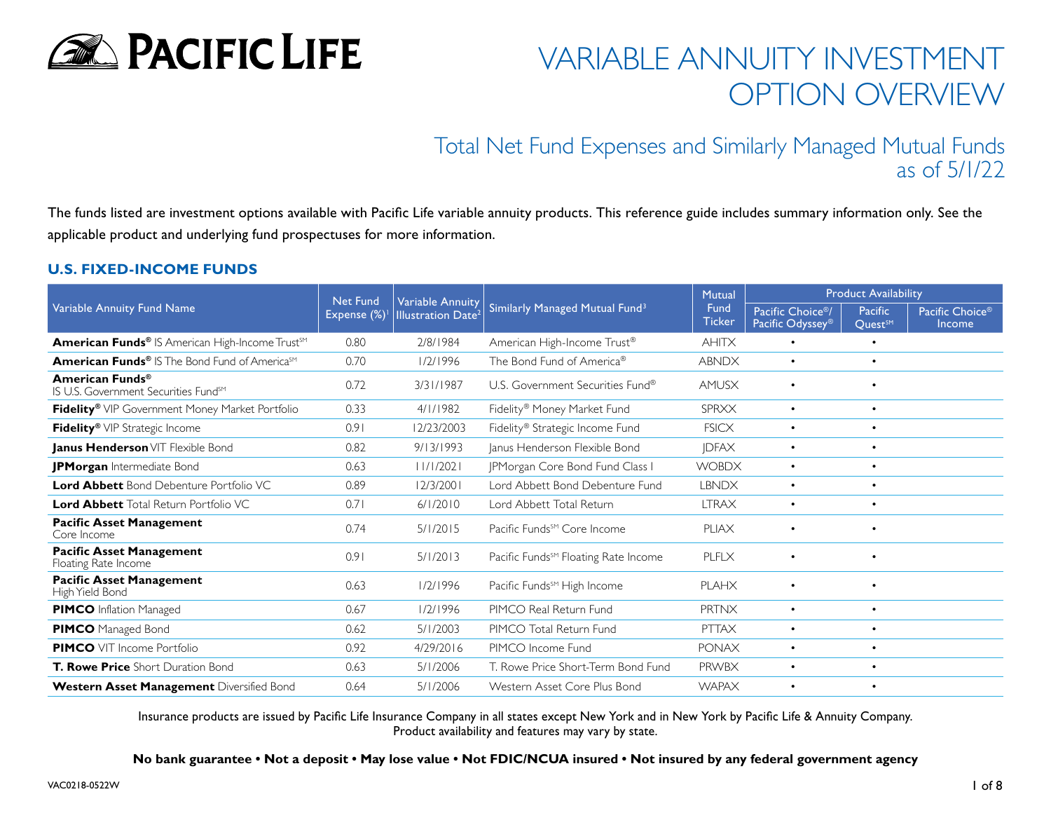

# Total Net Fund Expenses and Similarly Managed Mutual Funds as of 5/1/22

The funds listed are investment options available with Pacific Life variable annuity products. This reference guide includes summary information only. See the applicable product and underlying fund prospectuses for more information.

#### **U.S. FIXED-INCOME FUNDS**

| Variable Annuity Fund Name                                                      | <b>Net Fund</b><br>Expense (%) | <b>Variable Annuity</b><br><b>Illustration Date<sup>2</sup></b> | Similarly Managed Mutual Fund <sup>3</sup>       | <b>Mutual</b>         | <b>Product Availability</b>                                   |                                |                                       |
|---------------------------------------------------------------------------------|--------------------------------|-----------------------------------------------------------------|--------------------------------------------------|-----------------------|---------------------------------------------------------------|--------------------------------|---------------------------------------|
|                                                                                 |                                |                                                                 |                                                  | Fund<br><b>Ticker</b> | Pacific Choice <sup>®</sup> /<br>Pacific Odyssey <sup>®</sup> | Pacific<br>Quest <sup>SM</sup> | Pacific Choice <sup>®</sup><br>Income |
| American Funds® IS American High-Income Trust <sup>SM</sup>                     | 0.80                           | 2/8/1984                                                        | American High-Income Trust <sup>®</sup>          | <b>AHITX</b>          | $\bullet$                                                     | $\bullet$                      |                                       |
| <b>American Funds<sup>®</sup></b> IS The Bond Fund of America <sup>sM</sup>     | 0.70                           | 1/2/1996                                                        | The Bond Fund of America <sup>®</sup>            | <b>ABNDX</b>          | $\bullet$                                                     | $\bullet$                      |                                       |
| American Funds <sup>®</sup><br>IS U.S. Government Securities Fund <sup>sM</sup> | 0.72                           | 3/31/1987                                                       | U.S. Government Securities Fund®                 | AMUSX                 | $\bullet$                                                     | $\bullet$                      |                                       |
| Fidelity® VIP Government Money Market Portfolio                                 | 0.33                           | 4/1/1982                                                        | Fidelity <sup>®</sup> Money Market Fund          | <b>SPRXX</b>          | $\bullet$                                                     | $\bullet$                      |                                       |
| Fidelity® VIP Strategic Income                                                  | 0.91                           | 12/23/2003                                                      | Fidelity® Strategic Income Fund                  | <b>FSICX</b>          | $\bullet$                                                     | $\bullet$                      |                                       |
| Janus Henderson VIT Flexible Bond                                               | 0.82                           | 9/13/1993                                                       | Janus Henderson Flexible Bond                    | <b>JDFAX</b>          | $\bullet$                                                     | $\bullet$                      |                                       |
| JPMorgan Intermediate Bond                                                      | 0.63                           | 11/1/2021                                                       | JPMorgan Core Bond Fund Class I                  | <b>WOBDX</b>          | $\bullet$                                                     | $\bullet$                      |                                       |
| <b>Lord Abbett</b> Bond Debenture Portfolio VC                                  | 0.89                           | 12/3/2001                                                       | Lord Abbett Bond Debenture Fund                  | <b>LBNDX</b>          | $\bullet$                                                     | $\bullet$                      |                                       |
| <b>Lord Abbett</b> Total Return Portfolio VC                                    | 0.71                           | 6/1/2010                                                        | Lord Abbett Total Return                         | <b>LTRAX</b>          | $\bullet$                                                     | $\bullet$                      |                                       |
| <b>Pacific Asset Management</b><br>Core Income                                  | 0.74                           | 5/1/2015                                                        | Pacific Funds <sup>SM</sup> Core Income          | <b>PLIAX</b>          |                                                               | $\bullet$                      |                                       |
| <b>Pacific Asset Management</b><br>Floating Rate Income                         | 0.91                           | 5/1/2013                                                        | Pacific Funds <sup>SM</sup> Floating Rate Income | PLFLX                 |                                                               | $\bullet$                      |                                       |
| <b>Pacific Asset Management</b><br>High Yield Bond                              | 0.63                           | 1/2/1996                                                        | Pacific Funds <sup>SM</sup> High Income          | <b>PLAHX</b>          | $\bullet$                                                     |                                |                                       |
| <b>PIMCO</b> Inflation Managed                                                  | 0.67                           | 1/2/1996                                                        | PIMCO Real Return Fund                           | <b>PRTNX</b>          | $\bullet$                                                     | $\bullet$                      |                                       |
| <b>PIMCO</b> Managed Bond                                                       | 0.62                           | 5/1/2003                                                        | PIMCO Total Return Fund                          | <b>PTTAX</b>          | $\bullet$                                                     | $\bullet$                      |                                       |
| <b>PIMCO</b> VIT Income Portfolio                                               | 0.92                           | 4/29/2016                                                       | PIMCO Income Fund                                | <b>PONAX</b>          | $\bullet$                                                     | $\bullet$                      |                                       |
| <b>T. Rowe Price</b> Short Duration Bond                                        | 0.63                           | 5/1/2006                                                        | T. Rowe Price Short-Term Bond Fund               | <b>PRWBX</b>          | $\bullet$                                                     | $\bullet$                      |                                       |
| Western Asset Management Diversified Bond                                       | 0.64                           | 5/1/2006                                                        | Western Asset Core Plus Bond                     | <b>WAPAX</b>          | $\bullet$                                                     | $\bullet$                      |                                       |

Insurance products are issued by Pacific Life Insurance Company in all states except New York and in New York by Pacific Life & Annuity Company. Product availability and features may vary by state.

**No bank guarantee • Not a deposit • May lose value • Not FDIC/NCUA insured • Not insured by any federal government agency**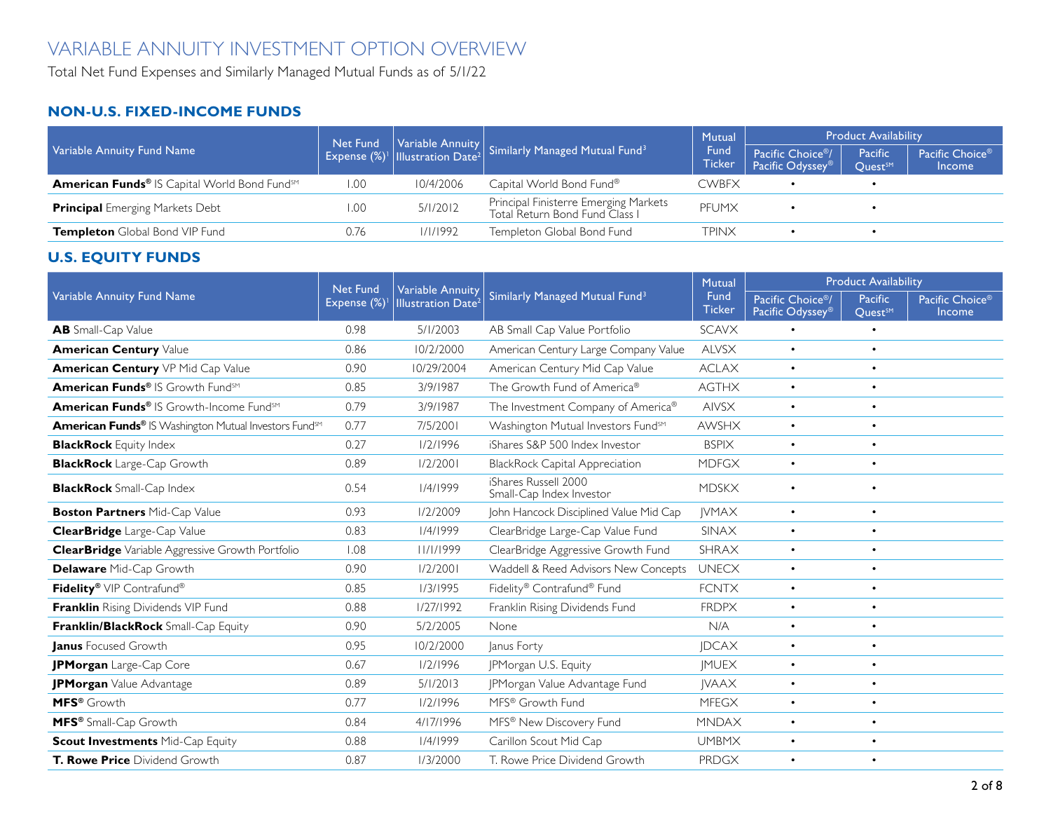Total Net Fund Expenses and Similarly Managed Mutual Funds as of 5/1/22

### **NON-U.S. FIXED-INCOME FUNDS**

| Variable Annuity Fund Name                   |      |           | Net Fund Variable Annuity Similarly Managed Mutual Fund <sup>3</sup>    | Mutual                | <b>Product Availability</b>                                   |                                |                                              |
|----------------------------------------------|------|-----------|-------------------------------------------------------------------------|-----------------------|---------------------------------------------------------------|--------------------------------|----------------------------------------------|
|                                              |      |           |                                                                         | Fund<br><b>Ticker</b> | Pacific Choice <sup>®</sup> /<br>Pacific Odyssey <sup>®</sup> | Pacific<br>Ouest <sup>SM</sup> | Pacific Choice <sup>®</sup><br><b>Income</b> |
| American Funds® IS Capital World Bond FundsM | 1.00 | 10/4/2006 | Capital World Bond Fund®                                                | <b>CWBFX</b>          |                                                               |                                |                                              |
| <b>Principal</b> Emerging Markets Debt       | 00.۱ | 5/1/2012  | Principal Finisterre Emerging Markets<br>Total Return Bond Fund Class I | PFUMX                 |                                                               |                                |                                              |
| <b>Templeton</b> Global Bond VIP Fund        | 0.76 | 1/1/1992  | Templeton Global Bond Fund                                              | TPINX                 |                                                               |                                |                                              |

### **U.S. EQUITY FUNDS**

|                                                                          | <b>Net Fund</b> | <b>Variable Annuity</b>              |                                                  | <b>Mutual</b>         | <b>Product Availability</b>                                   |                                      |                           |  |
|--------------------------------------------------------------------------|-----------------|--------------------------------------|--------------------------------------------------|-----------------------|---------------------------------------------------------------|--------------------------------------|---------------------------|--|
| Variable Annuity Fund Name                                               | Expense (%)     | <b>Illustration Date<sup>2</sup></b> | Similarly Managed Mutual Fund <sup>3</sup>       | Fund<br><b>Ticker</b> | Pacific Choice <sup>®</sup> /<br>Pacific Odyssey <sup>®</sup> | Pacific<br><b>Ouest<sup>SM</sup></b> | Pacific Choice®<br>Income |  |
| <b>AB</b> Small-Cap Value                                                | 0.98            | 5/1/2003                             | AB Small Cap Value Portfolio                     | <b>SCAVX</b>          | $\bullet$                                                     | $\bullet$                            |                           |  |
| <b>American Century Value</b>                                            | 0.86            | 10/2/2000                            | American Century Large Company Value             | <b>ALVSX</b>          | $\bullet$                                                     | $\bullet$                            |                           |  |
| American Century VP Mid Cap Value                                        | 0.90            | 10/29/2004                           | American Century Mid Cap Value                   | <b>ACLAX</b>          | $\bullet$                                                     | $\bullet$                            |                           |  |
| American Funds® IS Growth FundsM                                         | 0.85            | 3/9/1987                             | The Growth Fund of America®                      | <b>AGTHX</b>          | $\bullet$                                                     | $\bullet$                            |                           |  |
| American Funds® IS Growth-Income Fund <sup>sm</sup>                      | 0.79            | 3/9/1987                             | The Investment Company of America®               | <b>AIVSX</b>          | $\bullet$                                                     | $\bullet$                            |                           |  |
| <b>American Funds®</b> IS Washington Mutual Investors Fund <sup>sM</sup> | 0.77            | 7/5/2001                             | Washington Mutual Investors Fund <sup>sM</sup>   | <b>AWSHX</b>          | $\bullet$                                                     | $\bullet$                            |                           |  |
| <b>BlackRock</b> Equity Index                                            | 0.27            | 1/2/1996                             | iShares S&P 500 Index Investor                   | <b>BSPIX</b>          | $\bullet$                                                     | $\bullet$                            |                           |  |
| <b>BlackRock</b> Large-Cap Growth                                        | 0.89            | 1/2/2001                             | <b>BlackRock Capital Appreciation</b>            | <b>MDFGX</b>          | $\bullet$                                                     | $\bullet$                            |                           |  |
| <b>BlackRock</b> Small-Cap Index                                         | 0.54            | 1/4/1999                             | iShares Russell 2000<br>Small-Cap Index Investor | <b>MDSKX</b>          | $\bullet$                                                     | $\bullet$                            |                           |  |
| <b>Boston Partners Mid-Cap Value</b>                                     | 0.93            | 1/2/2009                             | John Hancock Disciplined Value Mid Cap           | <b>IVMAX</b>          | $\bullet$                                                     | $\bullet$                            |                           |  |
| <b>ClearBridge</b> Large-Cap Value                                       | 0.83            | 1/4/1999                             | ClearBridge Large-Cap Value Fund                 | SINAX                 | $\bullet$                                                     | $\bullet$                            |                           |  |
| <b>ClearBridge</b> Variable Aggressive Growth Portfolio                  | 1.08            | 11/1/1999                            | ClearBridge Aggressive Growth Fund               | <b>SHRAX</b>          | $\bullet$                                                     | $\bullet$                            |                           |  |
| <b>Delaware</b> Mid-Cap Growth                                           | 0.90            | 1/2/2001                             | Waddell & Reed Advisors New Concepts             | <b>UNECX</b>          | $\bullet$                                                     | $\bullet$                            |                           |  |
| Fidelity® VIP Contrafund®                                                | 0.85            | 1/3/1995                             | Fidelity® Contrafund® Fund                       | <b>FCNTX</b>          | $\bullet$                                                     | $\bullet$                            |                           |  |
| Franklin Rising Dividends VIP Fund                                       | 0.88            | 1/27/1992                            | Franklin Rising Dividends Fund                   | <b>FRDPX</b>          | $\bullet$                                                     | $\bullet$                            |                           |  |
| <b>Franklin/BlackRock</b> Small-Cap Equity                               | 0.90            | 5/2/2005                             | None                                             | N/A                   | $\bullet$                                                     | $\bullet$                            |                           |  |
| <b>Janus</b> Focused Growth                                              | 0.95            | 10/2/2000                            | Janus Forty                                      | <b>JDCAX</b>          | $\bullet$                                                     | $\bullet$                            |                           |  |
| <b>IPMorgan</b> Large-Cap Core                                           | 0.67            | 1/2/1996                             | <b>IPMorgan U.S. Equity</b>                      | <b>IMUEX</b>          | $\bullet$                                                     | $\bullet$                            |                           |  |
| JPMorgan Value Advantage                                                 | 0.89            | 5/1/2013                             | JPMorgan Value Advantage Fund                    | <b>IVAAX</b>          | $\bullet$                                                     | $\bullet$                            |                           |  |
| MFS <sup>®</sup> Growth                                                  | 0.77            | 1/2/1996                             | MFS® Growth Fund                                 | <b>MFEGX</b>          | $\bullet$                                                     | $\bullet$                            |                           |  |
| MFS <sup>®</sup> Small-Cap Growth                                        | 0.84            | 4/17/1996                            | MFS® New Discovery Fund                          | <b>MNDAX</b>          | $\bullet$                                                     | $\bullet$                            |                           |  |
| <b>Scout Investments Mid-Cap Equity</b>                                  | 0.88            | 1/4/1999                             | Carillon Scout Mid Cap                           | <b>UMBMX</b>          | $\bullet$                                                     | $\bullet$                            |                           |  |
| <b>T. Rowe Price</b> Dividend Growth                                     | 0.87            | 1/3/2000                             | T. Rowe Price Dividend Growth                    | PRDGX                 | $\bullet$                                                     | $\bullet$                            |                           |  |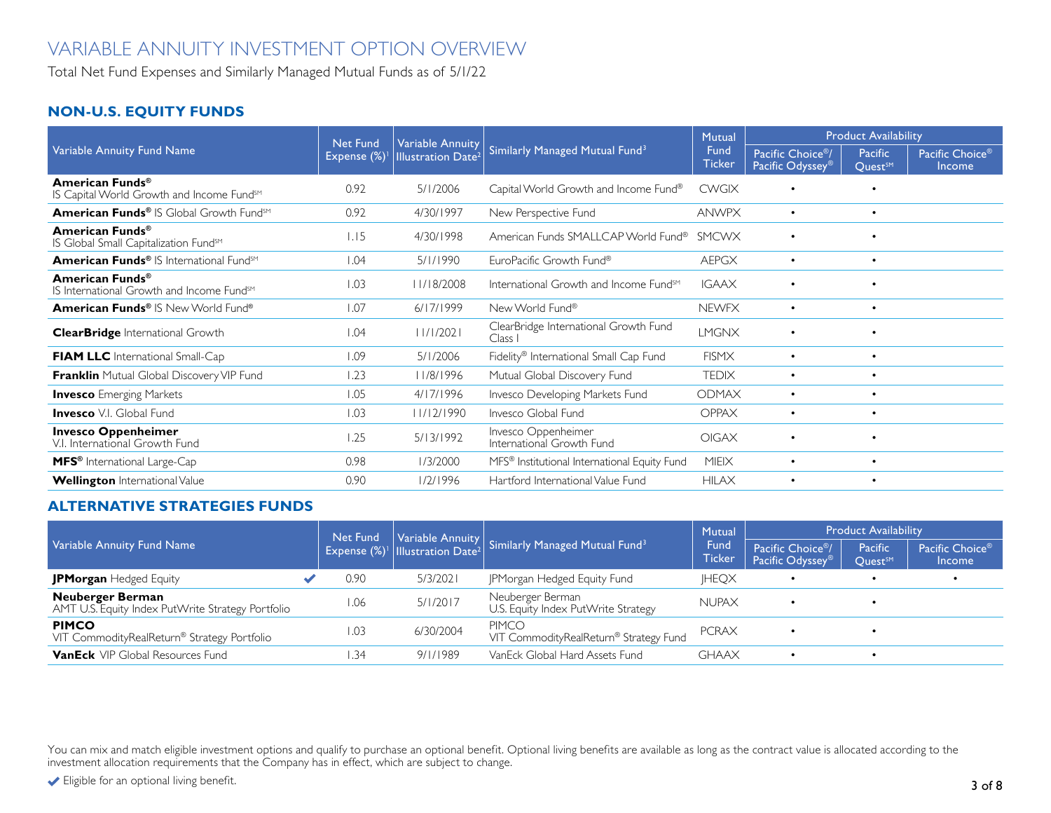Total Net Fund Expenses and Similarly Managed Mutual Funds as of 5/1/22

### **NON-U.S. EQUITY FUNDS**

| Variable Annuity Fund Name                                                           | <b>Net Fund</b><br>Expense (%) | <b>Variable Annuity</b><br><b>Illustration Date<sup>2</sup></b> | Similarly Managed Mutual Fund <sup>3</sup>               | Mutual                | <b>Product Availability</b>                                   |                                      |                           |
|--------------------------------------------------------------------------------------|--------------------------------|-----------------------------------------------------------------|----------------------------------------------------------|-----------------------|---------------------------------------------------------------|--------------------------------------|---------------------------|
|                                                                                      |                                |                                                                 |                                                          | Fund<br><b>Ticker</b> | Pacific Choice <sup>®</sup> /<br>Pacific Odyssey <sup>®</sup> | Pacific<br><b>Ouest<sup>SM</sup></b> | Pacific Choice®<br>Income |
| American Funds <sup>®</sup><br>IS Capital World Growth and Income Fund <sup>sM</sup> | 0.92                           | 5/1/2006                                                        | Capital World Growth and Income Fund®                    | <b>CWGIX</b>          |                                                               | $\bullet$                            |                           |
| American Funds® IS Global Growth Fund <sup>sM</sup>                                  | 0.92                           | 4/30/1997                                                       | New Perspective Fund                                     | <b>ANWPX</b>          | $\bullet$                                                     | $\bullet$                            |                           |
| American Funds <sup>®</sup><br>IS Global Small Capitalization Fund <sup>sM</sup>     | 1.15                           | 4/30/1998                                                       | American Funds SMALLCAP World Fund®                      | <b>SMCWX</b>          | $\bullet$                                                     | $\bullet$                            |                           |
| American Funds® IS International Fund <sup>sM</sup>                                  | 1.04                           | 5/1/1990                                                        | EuroPacific Growth Fund®                                 | <b>AEPGX</b>          | $\bullet$                                                     |                                      |                           |
| American Funds <sup>®</sup><br>IS International Growth and Income Fund <sup>sM</sup> | 1.03                           | 1/18/2008                                                       | International Growth and Income Fund <sup>sM</sup>       | <b>IGAAX</b>          | $\bullet$                                                     | $\bullet$                            |                           |
| American Funds® IS New World Fund®                                                   | 1.07                           | 6/17/1999                                                       | New World Fund®                                          | <b>NEWFX</b>          | $\bullet$                                                     |                                      |                           |
| <b>ClearBridge</b> International Growth                                              | 1.04                           | 11/1/2021                                                       | ClearBridge International Growth Fund<br>Class I         | <b>LMGNX</b>          | $\bullet$                                                     | $\bullet$                            |                           |
| <b>FIAM LLC</b> International Small-Cap                                              | 1.09                           | 5/1/2006                                                        | Fidelity® International Small Cap Fund                   | <b>FISMX</b>          | $\bullet$                                                     | $\bullet$                            |                           |
| Franklin Mutual Global Discovery VIP Fund                                            | 1.23                           | 11/8/1996                                                       | Mutual Global Discovery Fund                             | <b>TEDIX</b>          | $\bullet$                                                     | $\bullet$                            |                           |
| <b>Invesco</b> Emerging Markets                                                      | 1.05                           | 4/17/1996                                                       | Invesco Developing Markets Fund                          | <b>ODMAX</b>          | $\bullet$                                                     | $\bullet$                            |                           |
| <b>Invesco</b> V.I. Global Fund                                                      | 1.03                           | 11/12/1990                                                      | Invesco Global Fund                                      | <b>OPPAX</b>          | $\bullet$                                                     | $\bullet$                            |                           |
| <b>Invesco Oppenheimer</b><br>V.I. International Growth Fund                         | .25                            | 5/13/1992                                                       | Invesco Oppenheimer<br>International Growth Fund         | <b>OIGAX</b>          | $\bullet$                                                     | $\bullet$                            |                           |
| MFS <sup>®</sup> International Large-Cap                                             | 0.98                           | 1/3/2000                                                        | MFS <sup>®</sup> Institutional International Equity Fund | <b>MIEIX</b>          | $\bullet$                                                     | $\bullet$                            |                           |
| <b>Wellington</b> International Value                                                | 0.90                           | 1/2/1996                                                        | Hartford International Value Fund                        | <b>HILAX</b>          | $\bullet$                                                     | $\bullet$                            |                           |

### **ALTERNATIVE STRATEGIES FUNDS**

| Variable Annuity Fund Name                                                   |  | Net Fund | <b>Expense</b> $(\%)^1$ Illustration Date <sup>2</sup> | Variable Annuity Similarly Managed Mutual Fund <sup>3</sup> | <b>Mutual</b>  | <b>Product Availability</b>                                   |                                      |                                  |
|------------------------------------------------------------------------------|--|----------|--------------------------------------------------------|-------------------------------------------------------------|----------------|---------------------------------------------------------------|--------------------------------------|----------------------------------|
|                                                                              |  |          |                                                        |                                                             | Fund<br>Ticker | Pacific Choice <sup>®</sup> /<br>Pacific Odyssey <sup>®</sup> | Pacific<br><b>Ouest<sup>SM</sup></b> | Pacific Choice®<br><b>Income</b> |
| <b>JPMorgan</b> Hedged Equity                                                |  | 0.90     | 5/3/2021                                               | JPMorgan Hedged Equity Fund                                 | <b>IHEQX</b>   |                                                               |                                      |                                  |
| <b>Neuberger Berman</b><br>AMT U.S. Equity Index PutWrite Strategy Portfolio |  | 1.06     | 5/1/2017                                               | Neuberger Berman<br>U.S. Equity Index PutWrite Strategy     | <b>NUPAX</b>   |                                                               |                                      |                                  |
| <b>PIMCO</b><br>VIT CommodityRealReturn® Strategy Portfolio                  |  | I.O3     | 6/30/2004                                              | <b>PIMCO</b><br>VIT CommodityRealReturn® Strategy Fund      | <b>PCRAX</b>   |                                                               |                                      |                                  |
| <b>VanEck</b> VIP Global Resources Fund                                      |  | . 34     | 9/1/1989                                               | VanEck Global Hard Assets Fund                              | <b>GHAAX</b>   | $\bullet$                                                     |                                      |                                  |

You can mix and match eligible investment options and qualify to purchase an optional benefit. Optional living benefits are available as long as the contract value is allocated according to the investment allocation requirements that the Company has in effect, which are subject to change.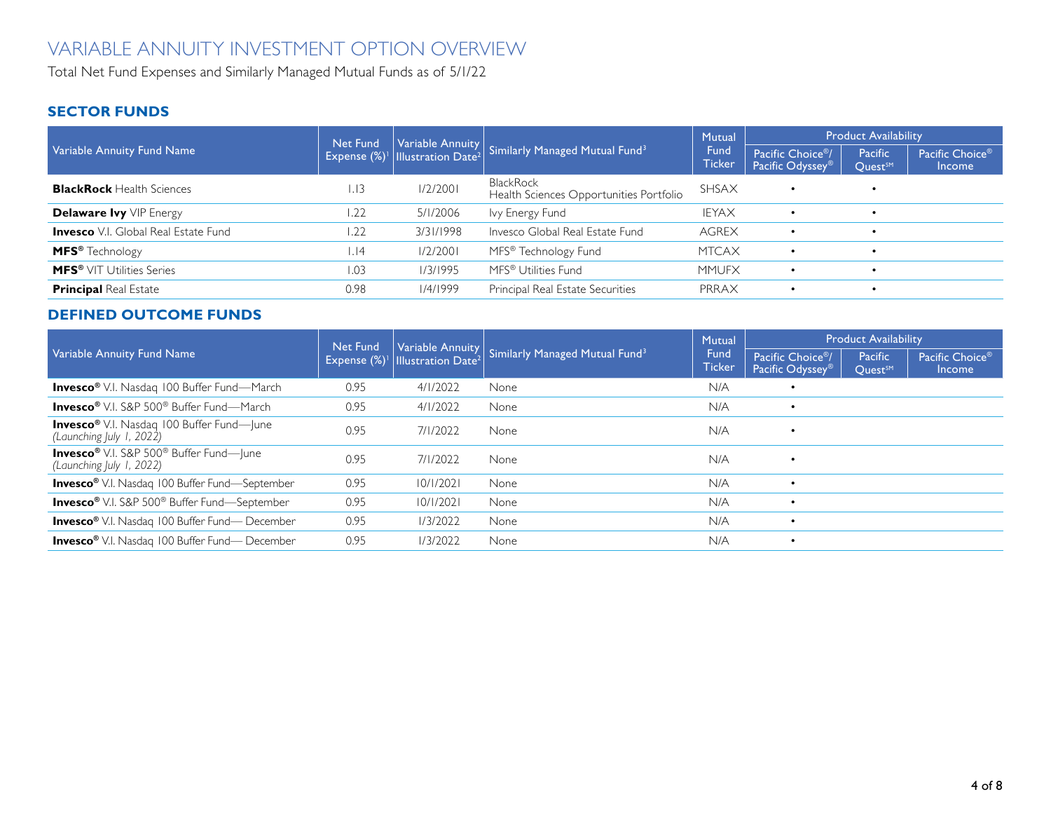Total Net Fund Expenses and Similarly Managed Mutual Funds as of 5/1/22

### **SECTOR FUNDS**

| Variable Annuity Fund Name                  | Net Fund | Expense $(\%)^{\dagger}$ Illustration Date <sup>2</sup> | Variable Annuity Similarly Managed Mutual Fund <sup>3</sup> | Mutual                | <b>Product Availability</b>                                   |                                |                                              |
|---------------------------------------------|----------|---------------------------------------------------------|-------------------------------------------------------------|-----------------------|---------------------------------------------------------------|--------------------------------|----------------------------------------------|
|                                             |          |                                                         |                                                             | Fund<br><b>Ticker</b> | Pacific Choice <sup>®</sup> /<br>Pacific Odyssey <sup>®</sup> | Pacific<br>Quest <sup>SM</sup> | Pacific Choice <sup>®</sup><br><b>Income</b> |
| <b>BlackRock</b> Health Sciences            | 1.13     | 1/2/200                                                 | <b>BlackRock</b><br>Health Sciences Opportunities Portfolio | <b>SHSAX</b>          | $\bullet$                                                     |                                |                                              |
| <b>Delaware Ivy</b> VIP Energy              | 1.22     | 5/1/2006                                                | lvy Energy Fund                                             | <b>IEYAX</b>          | $\bullet$                                                     |                                |                                              |
| <b>Invesco</b> V.I. Global Real Estate Fund | 1.22     | 3/31/1998                                               | Invesco Global Real Estate Fund                             | <b>AGREX</b>          | $\bullet$                                                     |                                |                                              |
| MFS <sup>®</sup> Technology                 | . 4      | 1/2/2001                                                | MFS® Technology Fund                                        | <b>MTCAX</b>          | $\bullet$                                                     |                                |                                              |
| <b>MFS®</b> VIT Utilities Series            | 1.03     | 1/3/1995                                                | MFS <sup>®</sup> Utilities Fund                             | <b>MMUFX</b>          | $\bullet$                                                     |                                |                                              |
| <b>Principal Real Estate</b>                | 0.98     | 1/4/1999                                                | Principal Real Estate Securities                            | PRRAX                 | $\bullet$                                                     |                                |                                              |

### **DEFINED OUTCOME FUNDS**

|                                                                                        | Net Fund<br>Expense $(\%)^{\dagger}$ | $\vert$ Illustration Date <sup>2</sup> | Variable Annuity Similarly Managed Mutual Fund <sup>3</sup> | <b>Mutual</b>                | <b>Product Availability</b>                                   |                                |                                              |
|----------------------------------------------------------------------------------------|--------------------------------------|----------------------------------------|-------------------------------------------------------------|------------------------------|---------------------------------------------------------------|--------------------------------|----------------------------------------------|
| Variable Annuity Fund Name                                                             |                                      |                                        |                                                             | <b>Fund</b><br><b>Ticker</b> | Pacific Choice <sup>®</sup> /<br>Pacific Odyssey <sup>®</sup> | Pacific<br>Quest <sup>SM</sup> | Pacific Choice <sup>®</sup><br><b>Income</b> |
| <b>Invesco®</b> V.I. Nasdaq 100 Buffer Fund-March                                      | 0.95                                 | 4/1/2022                               | None                                                        | N/A                          | $\bullet$                                                     |                                |                                              |
| <b>Invesco</b> <sup>®</sup> V.I. S&P 500 <sup>®</sup> Buffer Fund—March                | 0.95                                 | 4/1/2022                               | None                                                        | N/A                          | $\bullet$                                                     |                                |                                              |
| <b>Invesco®</b> V.I. Nasdaq 100 Buffer Fund—June<br>(Launching July 1, 2022)           | 0.95                                 | 7/1/2022                               | None                                                        | N/A                          | $\bullet$                                                     |                                |                                              |
| <b>Invesco®</b> V.I. S&P 500 <sup>®</sup> Buffer Fund-June<br>(Launching July 1, 2022) | 0.95                                 | 7/1/2022                               | None                                                        | N/A                          | $\bullet$                                                     |                                |                                              |
| <b>Invesco®</b> V.I. Nasdaq 100 Buffer Fund-September                                  | 0.95                                 | 10/1/2021                              | None                                                        | N/A                          | $\bullet$                                                     |                                |                                              |
| <b>Invesco®</b> V.I. S&P 500® Buffer Fund-September                                    | 0.95                                 | 10/1/2021                              | None                                                        | N/A                          |                                                               |                                |                                              |
| <b>Invesco®</b> V.I. Nasdaq 100 Buffer Fund-December                                   | 0.95                                 | 1/3/2022                               | None                                                        | N/A                          | $\bullet$                                                     |                                |                                              |
| <b>Invesco®</b> V.I. Nasdaq 100 Buffer Fund-December                                   | 0.95                                 | 1/3/2022                               | None                                                        | N/A                          | $\bullet$                                                     |                                |                                              |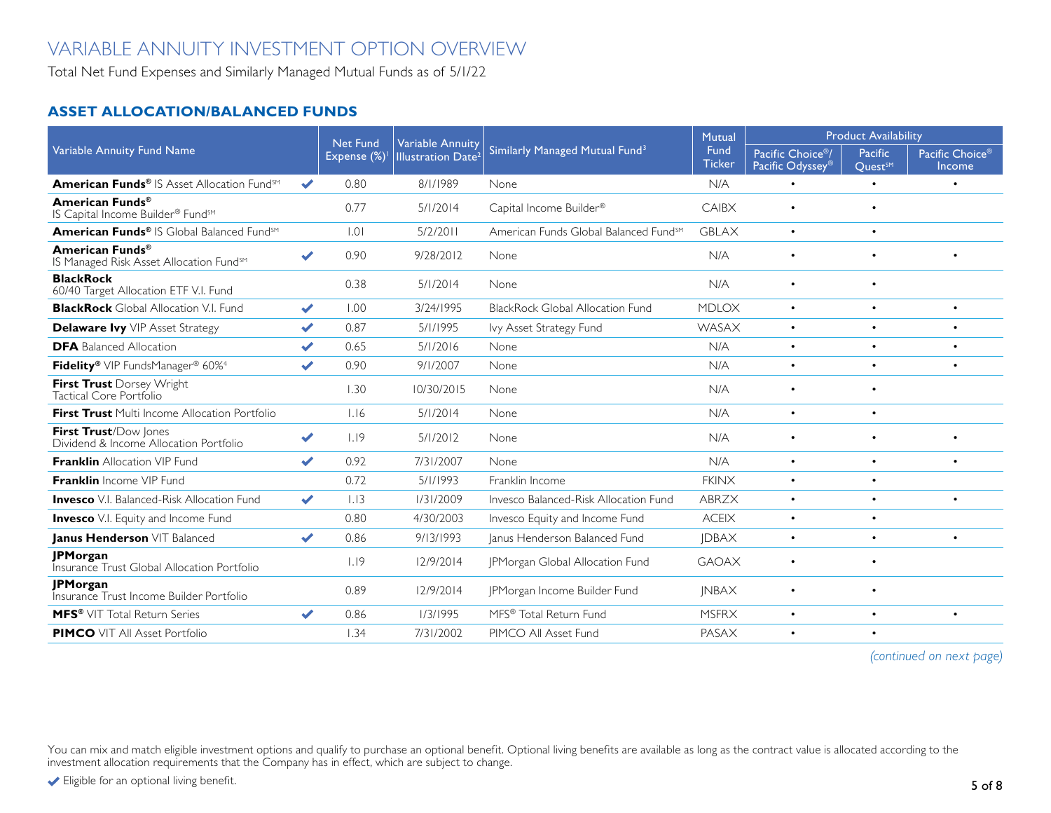Total Net Fund Expenses and Similarly Managed Mutual Funds as of 5/1/22

### **ASSET ALLOCATION/BALANCED FUNDS**

| Variable Annuity Fund Name                                                         |                       | <b>Net Fund</b> | <b>Variable Annuity</b><br><b>Illustration Date<sup>2</sup></b> | Similarly Managed Mutual Fund <sup>3</sup>        | <b>Mutual</b>         | <b>Product Availability</b>                                   |                                       |                           |
|------------------------------------------------------------------------------------|-----------------------|-----------------|-----------------------------------------------------------------|---------------------------------------------------|-----------------------|---------------------------------------------------------------|---------------------------------------|---------------------------|
|                                                                                    |                       | Expense (%)     |                                                                 |                                                   | Fund<br><b>Ticker</b> | Pacific Choice <sup>®</sup> /<br>Pacific Odyssey <sup>®</sup> | <b>Pacific</b><br>Quest <sup>SM</sup> | Pacific Choice®<br>Income |
| American Funds <sup>®</sup> IS Asset Allocation Fund <sup>sM</sup>                 | $\checkmark$          | 0.80            | 8/1/1989                                                        | None                                              | N/A                   | $\bullet$                                                     | $\bullet$                             | $\bullet$                 |
| American Funds <sup>®</sup><br>IS Capital Income Builder® Fund <sup>sM</sup>       |                       | 0.77            | 5/1/2014                                                        | Capital Income Builder®                           | CAIBX                 | $\bullet$                                                     | $\bullet$                             |                           |
| American Funds® IS Global Balanced Fund <sup>sM</sup>                              |                       | .0              | 5/2/2011                                                        | American Funds Global Balanced Fund <sup>sM</sup> | <b>GBLAX</b>          | $\bullet$                                                     | $\bullet$                             |                           |
| American Funds <sup>®</sup><br>IS Managed Risk Asset Allocation Fund <sup>sM</sup> | ✔                     | 0.90            | 9/28/2012                                                       | None                                              | N/A                   | $\bullet$                                                     | $\bullet$                             | $\bullet$                 |
| <b>BlackRock</b><br>60/40 Target Allocation ETF V.I. Fund                          |                       | 0.38            | 5/1/2014                                                        | None                                              | N/A                   | $\bullet$                                                     | $\bullet$                             |                           |
| <b>BlackRock</b> Global Allocation V.I. Fund                                       | $\blacktriangledown$  | 1.00            | 3/24/1995                                                       | <b>BlackRock Global Allocation Fund</b>           | <b>MDLOX</b>          | $\bullet$                                                     | $\bullet$                             | $\bullet$                 |
| <b>Delaware Ivy</b> VIP Asset Strategy                                             | $\blacktriangledown$  | 0.87            | 5/1/1995                                                        | lvy Asset Strategy Fund                           | WASAX                 |                                                               |                                       | $\bullet$                 |
| <b>DFA</b> Balanced Allocation                                                     | $\blacktriangleright$ | 0.65            | 5/1/2016                                                        | None                                              | N/A                   | $\bullet$                                                     | $\bullet$                             | $\bullet$                 |
| Fidelity® VIP FundsManager® 60% <sup>4</sup>                                       | $\checkmark$          | 0.90            | 9/1/2007                                                        | None                                              | N/A                   | $\bullet$                                                     | $\bullet$                             | $\bullet$                 |
| First Trust Dorsey Wright<br>Tactical Core Portfolio                               |                       | 1.30            | 10/30/2015                                                      | None                                              | N/A                   | $\bullet$                                                     | $\bullet$                             |                           |
| <b>First Trust</b> Multi Income Allocation Portfolio                               |                       | 1.16            | 5/1/2014                                                        | None                                              | N/A                   | $\bullet$                                                     | $\bullet$                             |                           |
| First Trust/Dow Jones<br>Dividend & Income Allocation Portfolio                    | $\blacktriangledown$  | 1.19            | 5/1/2012                                                        | None                                              | N/A                   | $\bullet$                                                     | $\bullet$                             | $\bullet$                 |
| <b>Franklin</b> Allocation VIP Fund                                                | $\blacktriangledown$  | 0.92            | 7/31/2007                                                       | None                                              | N/A                   | $\bullet$                                                     | $\bullet$                             | $\bullet$                 |
| <b>Franklin</b> Income VIP Fund                                                    |                       | 0.72            | 5/1/1993                                                        | Franklin Income                                   | <b>FKINX</b>          | ٠                                                             | $\bullet$                             |                           |
| <b>Invesco</b> V.I. Balanced-Risk Allocation Fund                                  | $\blacktriangleright$ | 1.13            | 1/31/2009                                                       | Invesco Balanced-Risk Allocation Fund             | <b>ABRZX</b>          | $\bullet$                                                     | $\bullet$                             | $\bullet$                 |
| <b>Invesco</b> V.I. Equity and Income Fund                                         |                       | 0.80            | 4/30/2003                                                       | Invesco Equity and Income Fund                    | <b>ACEIX</b>          | $\bullet$                                                     | $\bullet$                             |                           |
| Janus Henderson VIT Balanced                                                       | $\blacktriangleright$ | 0.86            | 9/13/1993                                                       | Janus Henderson Balanced Fund                     | <b>JDBAX</b>          | $\bullet$                                                     | $\bullet$                             | $\bullet$                 |
| <b>JPMorgan</b><br>Insurance Trust Global Allocation Portfolio                     |                       | 1.19            | 12/9/2014                                                       | JPMorgan Global Allocation Fund                   | <b>GAOAX</b>          | $\bullet$                                                     | $\bullet$                             |                           |
| <b>JPMorgan</b><br>Insurance Trust Income Builder Portfolio                        |                       | 0.89            | 12/9/2014                                                       | JPMorgan Income Builder Fund                      | <b>INBAX</b>          | $\bullet$                                                     | $\bullet$                             |                           |
| <b>MFS®</b> VIT Total Return Series                                                | ✔                     | 0.86            | 1/3/1995                                                        | MFS® Total Return Fund                            | <b>MSFRX</b>          | $\bullet$                                                     | $\bullet$                             | $\bullet$                 |
| <b>PIMCO</b> VIT All Asset Portfolio                                               |                       | 1.34            | 7/31/2002                                                       | PIMCO All Asset Fund                              | PASAX                 | $\bullet$                                                     | $\bullet$                             |                           |

*(continued on next page)*

You can mix and match eligible investment options and qualify to purchase an optional benefit. Optional living benefits are available as long as the contract value is allocated according to the investment allocation requirements that the Company has in effect, which are subject to change.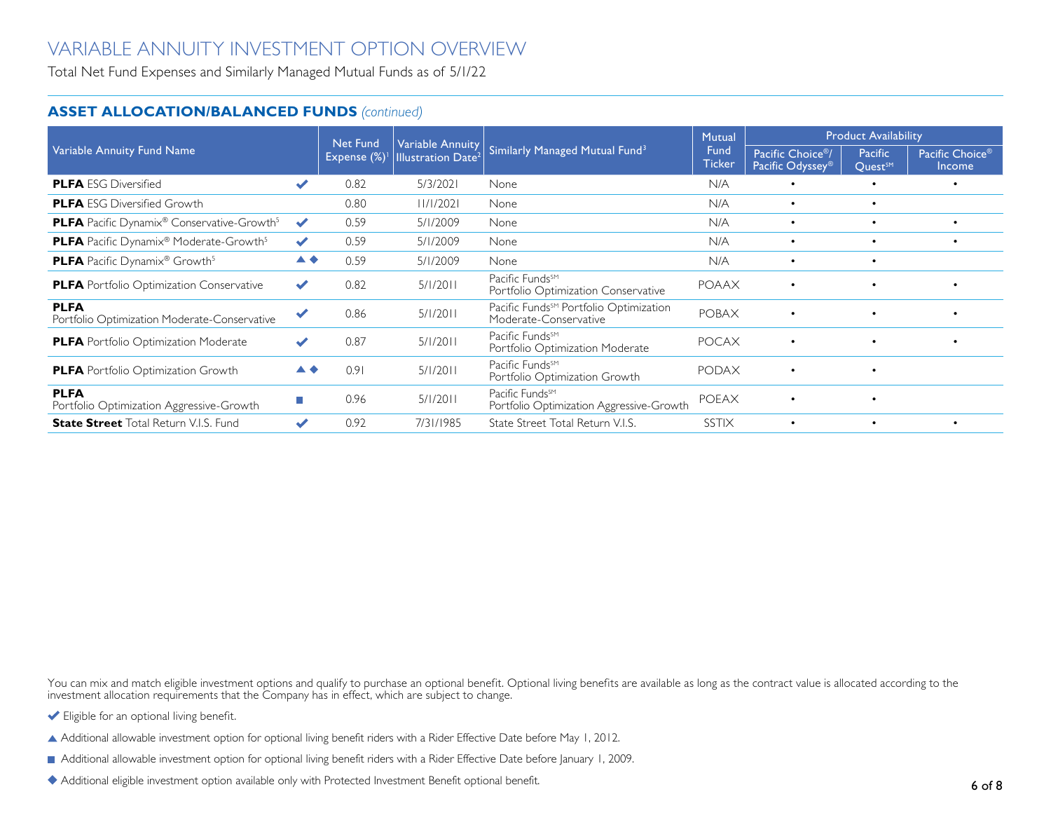Total Net Fund Expenses and Similarly Managed Mutual Funds as of 5/1/22

#### **ASSET ALLOCATION/BALANCED FUNDS** *(continued)*

|                                                                           |                      | <b>Net Fund</b> | Variable Annuity               |                                                                             | Mutual                | <b>Product Availability</b>                                   |                                       |                                              |
|---------------------------------------------------------------------------|----------------------|-----------------|--------------------------------|-----------------------------------------------------------------------------|-----------------------|---------------------------------------------------------------|---------------------------------------|----------------------------------------------|
| Variable Annuity Fund Name                                                |                      | Expense (%)     | Illustration Date <sup>2</sup> | Similarly Managed Mutual Fund <sup>3</sup>                                  | Fund<br><b>Ticker</b> | Pacific Choice <sup>®</sup> /<br>Pacific Odyssey <sup>®</sup> | <b>Pacific</b><br>Quest <sup>SM</sup> | Pacific Choice <sup>®</sup><br><b>Income</b> |
| <b>PLFA</b> ESG Diversified                                               | $\blacktriangledown$ | 0.82            | 5/3/2021                       | None                                                                        | N/A                   | $\bullet$                                                     | $\bullet$                             | $\bullet$                                    |
| <b>PLFA</b> ESG Diversified Growth                                        |                      | 0.80            | 11/1/2021                      | None                                                                        | N/A                   | $\bullet$                                                     | $\bullet$                             |                                              |
| <b>PLFA</b> Pacific Dynamix <sup>®</sup> Conservative-Growth <sup>5</sup> | $\blacktriangledown$ | 0.59            | 5/1/2009                       | None                                                                        | N/A                   | $\bullet$                                                     | $\bullet$                             | $\bullet$                                    |
| <b>PLFA</b> Pacific Dynamix <sup>®</sup> Moderate-Growth <sup>5</sup>     | $\blacktriangledown$ | 0.59            | 5/1/2009                       | None                                                                        | N/A                   | $\bullet$                                                     | $\bullet$                             | $\bullet$                                    |
| <b>PLFA</b> Pacific Dynamix <sup>®</sup> Growth <sup>5</sup>              | ▲◆                   | 0.59            | 5/1/2009                       | None                                                                        | N/A                   | $\bullet$                                                     | $\bullet$                             |                                              |
| <b>PLFA</b> Portfolio Optimization Conservative                           | $\blacktriangledown$ | 0.82            | 5/1/2011                       | Pacific Funds <sup>SM</sup><br>Portfolio Optimization Conservative          | <b>POAAX</b>          | $\bullet$                                                     |                                       |                                              |
| <b>PLFA</b><br>Portfolio Optimization Moderate-Conservative               | $\checkmark$         | 0.86            | 5/1/2011                       | Pacific Funds <sup>SM</sup> Portfolio Optimization<br>Moderate-Conservative | <b>POBAX</b>          | $\bullet$                                                     | $\bullet$                             |                                              |
| <b>PLFA</b> Portfolio Optimization Moderate                               |                      | 0.87            | 5/1/2011                       | Pacific Funds <sup>SM</sup><br>Portfolio Optimization Moderate              | <b>POCAX</b>          | $\bullet$                                                     | $\bullet$                             | $\bullet$                                    |
| <b>PLFA</b> Portfolio Optimization Growth                                 | ▲◆                   | 0.91            | 5/1/2011                       | Pacific Funds <sup>SM</sup><br>Portfolio Optimization Growth                | <b>PODAX</b>          | $\bullet$                                                     | $\bullet$                             |                                              |
| <b>PLFA</b><br>Portfolio Optimization Aggressive-Growth                   | П                    | 0.96            | 5/1/2011                       | Pacific Funds <sup>SM</sup><br>Portfolio Optimization Aggressive-Growth     | <b>POEAX</b>          | $\bullet$                                                     | $\bullet$                             |                                              |
| <b>State Street</b> Total Return V.I.S. Fund                              | ✔                    | 0.92            | 7/31/1985                      | State Street Total Return V.I.S.                                            | <b>SSTIX</b>          | $\bullet$                                                     | $\bullet$                             |                                              |

You can mix and match eligible investment options and qualify to purchase an optional benefit. Optional living benefits are available as long as the contract value is allocated according to the investment allocation requirements that the Company has in effect, which are subject to change.

- Eligible for an optional living benefit.
- Additional allowable investment option for optional living benefit riders with a Rider Effective Date before May 1, 2012.
- Additional allowable investment option for optional living benefit riders with a Rider Effective Date before January 1, 2009.
- Additional eligible investment option available only with Protected Investment Benefit optional benefit.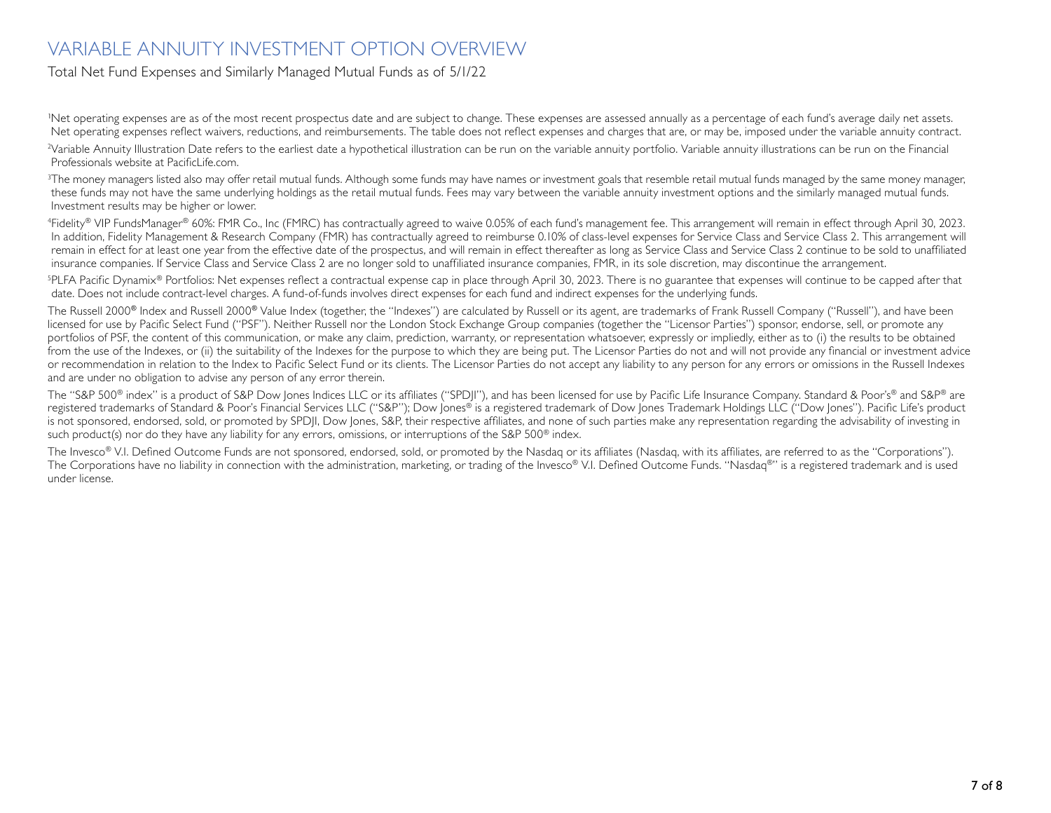#### Total Net Fund Expenses and Similarly Managed Mutual Funds as of 5/1/22

'Net operating expenses are as of the most recent prospectus date and are subject to change. These expenses are assessed annually as a percentage of each fund's average daily net assets. Net operating expenses reflect waivers, reductions, and reimbursements. The table does not reflect expenses and charges that are, or may be, imposed under the variable annuity contract.

2 Variable Annuity Illustration Date refers to the earliest date a hypothetical illustration can be run on the variable annuity portfolio. Variable annuity illustrations can be run on the Financial Professionals website at PacificLife.com.

<sup>3</sup>The money managers listed also may offer retail mutual funds. Although some funds may have names or investment goals that resemble retail mutual funds managed by the same money manager, these funds may not have the same underlying holdings as the retail mutual funds. Fees may vary between the variable annuity investment options and the similarly managed mutual funds. Investment results may be higher or lower.

4 Fidelity® VIP FundsManager® 60%: FMR Co., Inc (FMRC) has contractually agreed to waive 0.05% of each fund's management fee. This arrangement will remain in effect through April 30, 2023. In addition, Fidelity Management & Research Company (FMR) has contractually agreed to reimburse 0.10% of class-level expenses for Service Class and Service Class 2. This arrangement will remain in effect for at least one year from the effective date of the prospectus, and will remain in effect thereafter as long as Service Class and Service Class 2 continue to be sold to unaffiliated insurance companies. If Service Class and Service Class 2 are no longer sold to unaffiliated insurance companies, FMR, in its sole discretion, may discontinue the arrangement.

5 PLFA Pacific Dynamix® Portfolios: Net expenses reflect a contractual expense cap in place through April 30, 2023. There is no guarantee that expenses will continue to be capped after that date. Does not include contract-level charges. A fund-of-funds involves direct expenses for each fund and indirect expenses for the underlying funds.

The Russell 2000<sup>®</sup> Index and Russell 2000<sup>®</sup> Value Index (together, the "Indexes") are calculated by Russell or its agent, are trademarks of Frank Russell Company ("Russell"), and have been licensed for use by Pacific Select Fund ("PSF"). Neither Russell nor the London Stock Exchange Group companies (together the "Licensor Parties") sponsor, endorse, sell, or promote any portfolios of PSF, the content of this communication, or make any claim, prediction, warranty, or representation whatsoever, expressly or impliedly, either as to (i) the results to be obtained from the use of the Indexes, or (ii) the suitability of the Indexes for the purpose to which they are being put. The Licensor Parties do not and will not provide any financial or investment advice or recommendation in relation to the Index to Pacific Select Fund or its clients. The Licensor Parties do not accept any liability to any person for any errors or omissions in the Russell Indexes and are under no obligation to advise any person of any error therein.

The "S&P 500® index" is a product of S&P Dow Jones Indices LLC or its affiliates ("SPDJI"), and has been licensed for use by Pacific Life Insurance Company. Standard & Poor's® and S&P® are registered trademarks of Standard & Poor's Financial Services LLC ("S&P"); Dow Jones® is a registered trademark of Dow Jones Trademark Holdings LLC ("Dow Jones"). Pacific Life's product is not sponsored, endorsed, sold, or promoted by SPDJI, Dow Jones, S&P, their respective affiliates, and none of such parties make any representation regarding the advisability of investing in such product(s) nor do they have any liability for any errors, omissions, or interruptions of the S&P 500<sup>®</sup> index.

The Invesco<sup>®</sup> V.I. Defined Outcome Funds are not sponsored, endorsed, sold, or promoted by the Nasdaq or its affiliates (Nasdaq, with its affiliates, are referred to as the "Corporations"). The Corporations have no liability in connection with the administration, marketing, or trading of the Invesco® V.I. Defined Outcome Funds. "Nasdaq®" is a registered trademark and is used under license.